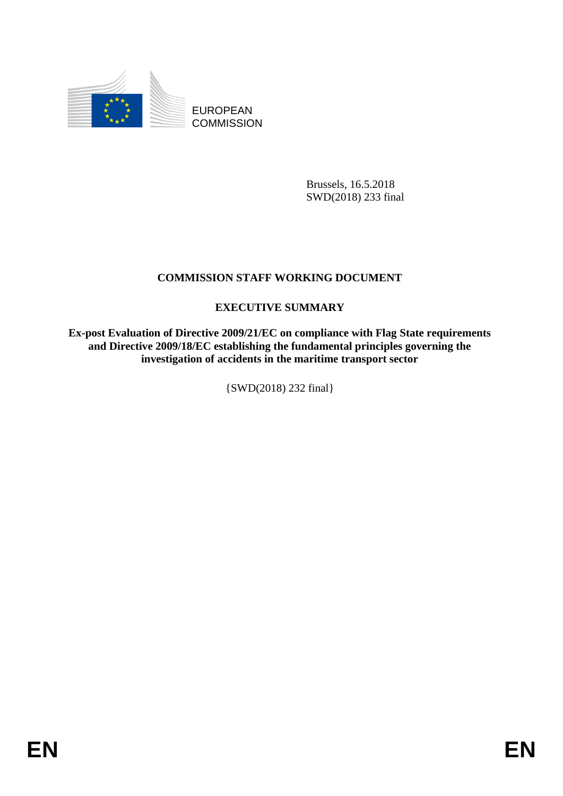

EUROPEAN **COMMISSION** 

> Brussels, 16.5.2018 SWD(2018) 233 final

## **COMMISSION STAFF WORKING DOCUMENT**

## **EXECUTIVE SUMMARY**

**Ex-post Evaluation of Directive 2009/21/EC on compliance with Flag State requirements and Directive 2009/18/EC establishing the fundamental principles governing the investigation of accidents in the maritime transport sector**

{SWD(2018) 232 final}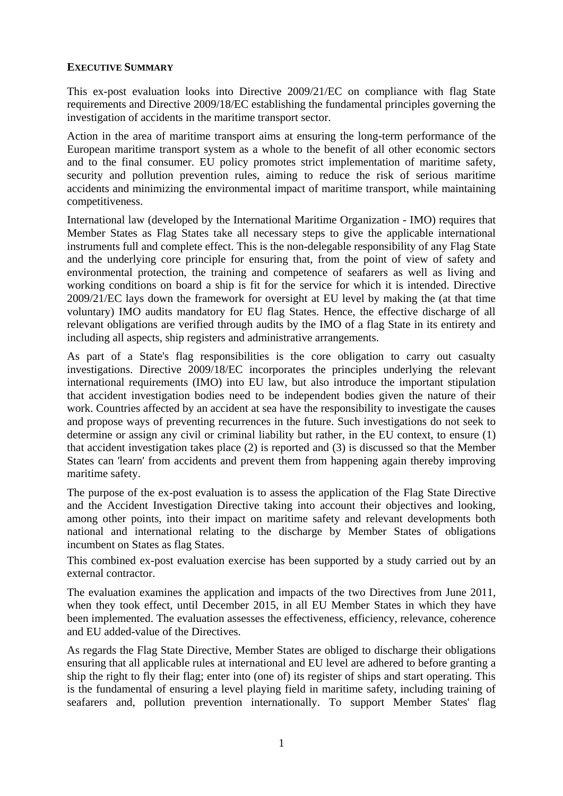## **EXECUTIVE SUMMARY**

This ex-post evaluation looks into Directive 2009/21/EC on compliance with flag State requirements and Directive 2009/18/EC establishing the fundamental principles governing the investigation of accidents in the maritime transport sector.

Action in the area of maritime transport aims at ensuring the long-term performance of the European maritime transport system as a whole to the benefit of all other economic sectors and to the final consumer. EU policy promotes strict implementation of maritime safety, security and pollution prevention rules, aiming to reduce the risk of serious maritime accidents and minimizing the environmental impact of maritime transport, while maintaining competitiveness.

International law (developed by the International Maritime Organization - IMO) requires that Member States as Flag States take all necessary steps to give the applicable international instruments full and complete effect. This is the non-delegable responsibility of any Flag State and the underlying core principle for ensuring that, from the point of view of safety and environmental protection, the training and competence of seafarers as well as living and working conditions on board a ship is fit for the service for which it is intended. Directive 2009/21/EC lays down the framework for oversight at EU level by making the (at that time voluntary) IMO audits mandatory for EU flag States. Hence, the effective discharge of all relevant obligations are verified through audits by the IMO of a flag State in its entirety and including all aspects, ship registers and administrative arrangements.

As part of a State's flag responsibilities is the core obligation to carry out casualty investigations. Directive 2009/18/EC incorporates the principles underlying the relevant international requirements (IMO) into EU law, but also introduce the important stipulation that accident investigation bodies need to be independent bodies given the nature of their work. Countries affected by an accident at sea have the responsibility to investigate the causes and propose ways of preventing recurrences in the future. Such investigations do not seek to determine or assign any civil or criminal liability but rather, in the EU context, to ensure (1) that accident investigation takes place (2) is reported and (3) is discussed so that the Member States can 'learn' from accidents and prevent them from happening again thereby improving maritime safety.

The purpose of the ex-post evaluation is to assess the application of the Flag State Directive and the Accident Investigation Directive taking into account their objectives and looking, among other points, into their impact on maritime safety and relevant developments both national and international relating to the discharge by Member States of obligations incumbent on States as flag States.

This combined ex-post evaluation exercise has been supported by a study carried out by an external contractor.

The evaluation examines the application and impacts of the two Directives from June 2011, when they took effect, until December 2015, in all EU Member States in which they have been implemented. The evaluation assesses the effectiveness, efficiency, relevance, coherence and EU added-value of the Directives.

As regards the Flag State Directive, Member States are obliged to discharge their obligations ensuring that all applicable rules at international and EU level are adhered to before granting a ship the right to fly their flag; enter into (one of) its register of ships and start operating. This is the fundamental of ensuring a level playing field in maritime safety, including training of seafarers and, pollution prevention internationally. To support Member States' flag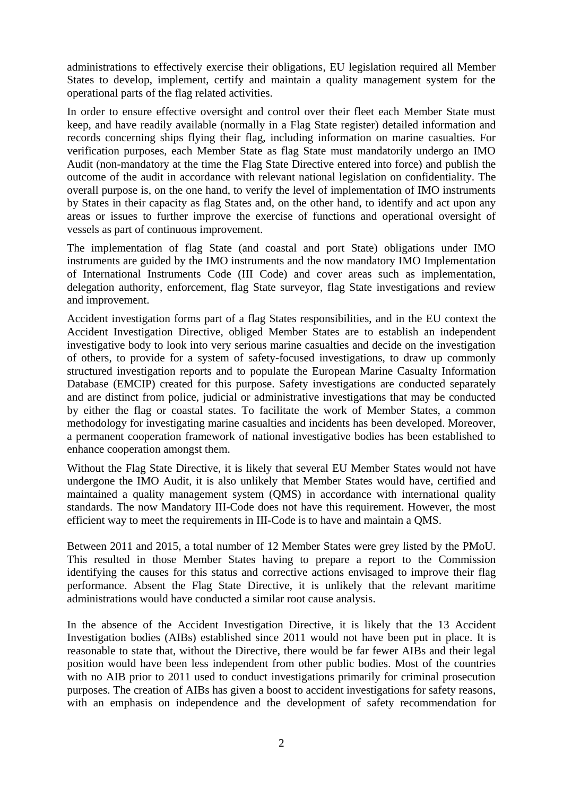administrations to effectively exercise their obligations, EU legislation required all Member States to develop, implement, certify and maintain a quality management system for the operational parts of the flag related activities.

In order to ensure effective oversight and control over their fleet each Member State must keep, and have readily available (normally in a Flag State register) detailed information and records concerning ships flying their flag, including information on marine casualties. For verification purposes, each Member State as flag State must mandatorily undergo an IMO Audit (non-mandatory at the time the Flag State Directive entered into force) and publish the outcome of the audit in accordance with relevant national legislation on confidentiality. The overall purpose is, on the one hand, to verify the level of implementation of IMO instruments by States in their capacity as flag States and, on the other hand, to identify and act upon any areas or issues to further improve the exercise of functions and operational oversight of vessels as part of continuous improvement.

The implementation of flag State (and coastal and port State) obligations under IMO instruments are guided by the IMO instruments and the now mandatory IMO Implementation of International Instruments Code (III Code) and cover areas such as implementation, delegation authority, enforcement, flag State surveyor, flag State investigations and review and improvement.

Accident investigation forms part of a flag States responsibilities, and in the EU context the Accident Investigation Directive, obliged Member States are to establish an independent investigative body to look into very serious marine casualties and decide on the investigation of others, to provide for a system of safety-focused investigations, to draw up commonly structured investigation reports and to populate the European Marine Casualty Information Database (EMCIP) created for this purpose. Safety investigations are conducted separately and are distinct from police, judicial or administrative investigations that may be conducted by either the flag or coastal states. To facilitate the work of Member States, a common methodology for investigating marine casualties and incidents has been developed. Moreover, a permanent cooperation framework of national investigative bodies has been established to enhance cooperation amongst them.

Without the Flag State Directive, it is likely that several EU Member States would not have undergone the IMO Audit, it is also unlikely that Member States would have, certified and maintained a quality management system (QMS) in accordance with international quality standards. The now Mandatory III-Code does not have this requirement. However, the most efficient way to meet the requirements in III-Code is to have and maintain a QMS.

Between 2011 and 2015, a total number of 12 Member States were grey listed by the PMoU. This resulted in those Member States having to prepare a report to the Commission identifying the causes for this status and corrective actions envisaged to improve their flag performance. Absent the Flag State Directive, it is unlikely that the relevant maritime administrations would have conducted a similar root cause analysis.

In the absence of the Accident Investigation Directive, it is likely that the 13 Accident Investigation bodies (AIBs) established since 2011 would not have been put in place. It is reasonable to state that, without the Directive, there would be far fewer AIBs and their legal position would have been less independent from other public bodies. Most of the countries with no AIB prior to 2011 used to conduct investigations primarily for criminal prosecution purposes. The creation of AIBs has given a boost to accident investigations for safety reasons, with an emphasis on independence and the development of safety recommendation for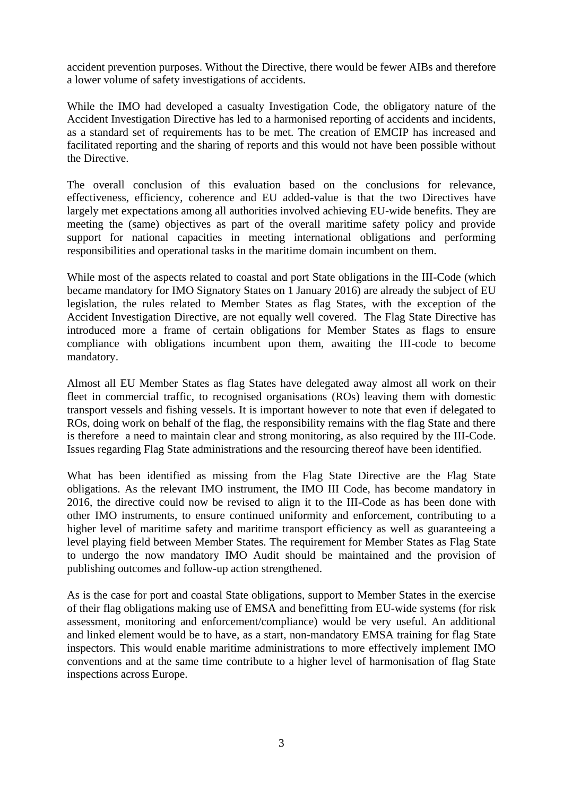accident prevention purposes. Without the Directive, there would be fewer AIBs and therefore a lower volume of safety investigations of accidents.

While the IMO had developed a casualty Investigation Code, the obligatory nature of the Accident Investigation Directive has led to a harmonised reporting of accidents and incidents, as a standard set of requirements has to be met. The creation of EMCIP has increased and facilitated reporting and the sharing of reports and this would not have been possible without the Directive.

The overall conclusion of this evaluation based on the conclusions for relevance, effectiveness, efficiency, coherence and EU added-value is that the two Directives have largely met expectations among all authorities involved achieving EU-wide benefits. They are meeting the (same) objectives as part of the overall maritime safety policy and provide support for national capacities in meeting international obligations and performing responsibilities and operational tasks in the maritime domain incumbent on them.

While most of the aspects related to coastal and port State obligations in the III-Code (which became mandatory for IMO Signatory States on 1 January 2016) are already the subject of EU legislation, the rules related to Member States as flag States, with the exception of the Accident Investigation Directive, are not equally well covered. The Flag State Directive has introduced more a frame of certain obligations for Member States as flags to ensure compliance with obligations incumbent upon them, awaiting the III-code to become mandatory.

Almost all EU Member States as flag States have delegated away almost all work on their fleet in commercial traffic, to recognised organisations (ROs) leaving them with domestic transport vessels and fishing vessels. It is important however to note that even if delegated to ROs, doing work on behalf of the flag, the responsibility remains with the flag State and there is therefore a need to maintain clear and strong monitoring, as also required by the III-Code. Issues regarding Flag State administrations and the resourcing thereof have been identified.

What has been identified as missing from the Flag State Directive are the Flag State obligations. As the relevant IMO instrument, the IMO III Code, has become mandatory in 2016, the directive could now be revised to align it to the III-Code as has been done with other IMO instruments, to ensure continued uniformity and enforcement, contributing to a higher level of maritime safety and maritime transport efficiency as well as guaranteeing a level playing field between Member States. The requirement for Member States as Flag State to undergo the now mandatory IMO Audit should be maintained and the provision of publishing outcomes and follow-up action strengthened.

As is the case for port and coastal State obligations, support to Member States in the exercise of their flag obligations making use of EMSA and benefitting from EU-wide systems (for risk assessment, monitoring and enforcement/compliance) would be very useful. An additional and linked element would be to have, as a start, non-mandatory EMSA training for flag State inspectors. This would enable maritime administrations to more effectively implement IMO conventions and at the same time contribute to a higher level of harmonisation of flag State inspections across Europe.